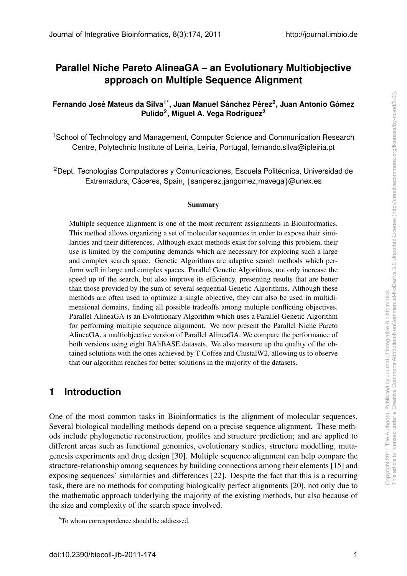# **Parallel Niche Pareto AlineaGA – an Evolutionary Multiobjective approach on Multiple Sequence Alignment**

**Fernando Jose Mateus da Silva ´ 1\*, Juan Manuel Sanchez P ´ erez ´ 2 , Juan Antonio Gomez ´ Pulido<sup>2</sup> , Miguel A. Vega Rodr´ıguez<sup>2</sup>**

<sup>1</sup>School of Technology and Management, Computer Science and Communication Research Centre, Polytechnic Institute of Leiria, Leiria, Portugal, fernando.silva@ipleiria.pt

<sup>2</sup>Dept. Tecnologías Computadores y Comunicaciones, Escuela Politécnica, Universidad de Extremadura, Cáceres, Spain, {sanperez,jangomez,mavega}@unex.es

#### Summary

Multiple sequence alignment is one of the most recurrent assignments in Bioinformatics. This method allows organizing a set of molecular sequences in order to expose their similarities and their differences. Although exact methods exist for solving this problem, their use is limited by the computing demands which are necessary for exploring such a large and complex search space. Genetic Algorithms are adaptive search methods which perform well in large and complex spaces. Parallel Genetic Algorithms, not only increase the speed up of the search, but also improve its efficiency, presenting results that are better than those provided by the sum of several sequential Genetic Algorithms. Although these methods are often used to optimize a single objective, they can also be used in multidimensional domains, finding all possible tradeoffs among multiple conflicting objectives. Parallel AlineaGA is an Evolutionary Algorithm which uses a Parallel Genetic Algorithm for performing multiple sequence alignment. We now present the Parallel Niche Pareto AlineaGA, a multiobjective version of Parallel AlineaGA. We compare the performance of both versions using eight BAliBASE datasets. We also measure up the quality of the obtained solutions with the ones achieved by T-Coffee and ClustalW2, allowing us to observe that our algorithm reaches for better solutions in the majority of the datasets.

# **1 Introduction**

One of the most common tasks in Bioinformatics is the alignment of molecular sequences. Several biological modelling methods depend on a precise sequence alignment. These methods include phylogenetic reconstruction, profiles and structure prediction; and are applied to different areas such as functional genomics, evolutionary studies, structure modelling, mutagenesis experiments and drug design [30]. Multiple sequence alignment can help compare the structure-relationship among sequences by building connections among their elements [15] and exposing sequences' similarities and differences [22]. Despite the fact that this is a recurring task, there are no methods for computing biologically perfect alignments [20], not only due to the mathematic approach underlying the majority of the existing methods, but also because of the size and complexity of the search space involved.

<sup>\*</sup>To whom correspondence should be addressed.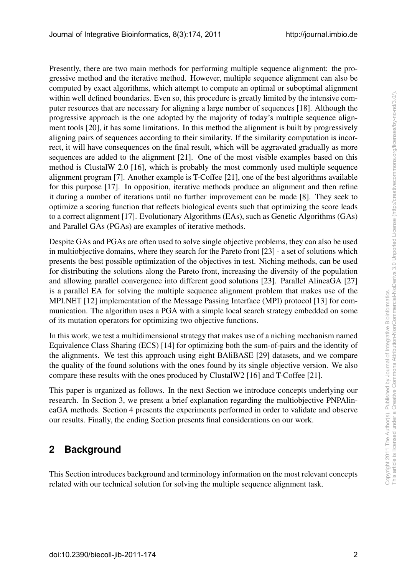Presently, there are two main methods for performing multiple sequence alignment: the progressive method and the iterative method. However, multiple sequence alignment can also be computed by exact algorithms, which attempt to compute an optimal or suboptimal alignment within well defined boundaries. Even so, this procedure is greatly limited by the intensive computer resources that are necessary for aligning a large number of sequences [18]. Although the progressive approach is the one adopted by the majority of today's multiple sequence alignment tools [20], it has some limitations. In this method the alignment is built by progressively aligning pairs of sequences according to their similarity. If the similarity computation is incorrect, it will have consequences on the final result, which will be aggravated gradually as more sequences are added to the alignment [21]. One of the most visible examples based on this method is ClustalW 2.0 [16], which is probably the most commonly used multiple sequence alignment program [7]. Another example is T-Coffee [21], one of the best algorithms available for this purpose [17]. In opposition, iterative methods produce an alignment and then refine it during a number of iterations until no further improvement can be made [8]. They seek to optimize a scoring function that reflects biological events such that optimizing the score leads to a correct alignment [17]. Evolutionary Algorithms (EAs), such as Genetic Algorithms (GAs) and Parallel GAs (PGAs) are examples of iterative methods.

Despite GAs and PGAs are often used to solve single objective problems, they can also be used in multiobjective domains, where they search for the Pareto front [23] - a set of solutions which presents the best possible optimization of the objectives in test. Niching methods, can be used for distributing the solutions along the Pareto front, increasing the diversity of the population and allowing parallel convergence into different good solutions [23]. Parallel AlineaGA [27] is a parallel EA for solving the multiple sequence alignment problem that makes use of the MPI.NET [12] implementation of the Message Passing Interface (MPI) protocol [13] for communication. The algorithm uses a PGA with a simple local search strategy embedded on some of its mutation operators for optimizing two objective functions.

In this work, we test a multidimensional strategy that makes use of a niching mechanism named Equivalence Class Sharing (ECS) [14] for optimizing both the sum-of-pairs and the identity of the alignments. We test this approach using eight BAliBASE [29] datasets, and we compare the quality of the found solutions with the ones found by its single objective version. We also compare these results with the ones produced by ClustalW2 [16] and T-Coffee [21].

This paper is organized as follows. In the next Section we introduce concepts underlying our research. In Section 3, we present a brief explanation regarding the multiobjective PNPAlineaGA methods. Section 4 presents the experiments performed in order to validate and observe our results. Finally, the ending Section presents final considerations on our work.

# **2 Background**

This Section introduces background and terminology information on the most relevant concepts related with our technical solution for solving the multiple sequence alignment task.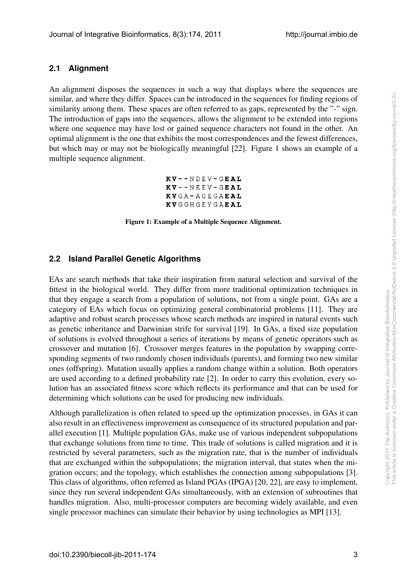#### **2.1 Alignment**

An alignment disposes the sequences in such a way that displays where the sequences are similar, and where they differ. Spaces can be introduced in the sequences for finding regions of similarity among them. These spaces are often referred to as gaps, represented by the "-" sign. The introduction of gaps into the sequences, allows the alignment to be extended into regions where one sequence may have lost or gained sequence characters not found in the other. An optimal alignment is the one that exhibits the most correspondences and the fewest differences, but which may or may not be biologically meaningful [22]. Figure 1 shows an example of a multiple sequence alignment.

> $KV - - NDEV - GEAL$  $KV - -NEEV - GEAL$ KVGA-AGEGAEAL **KVGGHGEYGAEAL**

Figure 1: Example of a Multiple Sequence Alignment.

#### **2.2 Island Parallel Genetic Algorithms**

EAs are search methods that take their inspiration from natural selection and survival of the fittest in the biological world. They differ from more traditional optimization techniques in that they engage a search from a population of solutions, not from a single point. GAs are a category of EAs which focus on optimizing general combinatorial problems [11]. They are adaptive and robust search processes whose search methods are inspired in natural events such as genetic inheritance and Darwinian strife for survival [19]. In GAs, a fixed size population of solutions is evolved throughout a series of iterations by means of genetic operators such as crossover and mutation [6]. Crossover merges features in the population by swapping corresponding segments of two randomly chosen individuals (parents), and forming two new similar ones (offspring). Mutation usually applies a random change within a solution. Both operators are used according to a defined probability rate [2]. In order to carry this evolution, every solution has an associated fitness score which reflects its performance and that can be used for determining which solutions can be used for producing new individuals.

Although parallelization is often related to speed up the optimization processes, in GAs it can also result in an effectiveness improvement as consequence of its structured population and parallel execution [1]. Multiple population GAs, make use of various independent subpopulations that exchange solutions from time to time. This trade of solutions is called migration and it is restricted by several parameters, such as the migration rate, that is the number of individuals that are exchanged within the subpopulations; the migration interval, that states when the migration occurs; and the topology, which establishes the connection among subpopulations [3]. This class of algorithms, often referred as Island PGAs (IPGA) [20, 22], are easy to implement, since they run several independent GAs simultaneously, with an extension of subroutines that handles migration. Also, multi-processor computers are becoming widely available, and even single processor machines can simulate their behavior by using technologies as MPI [13].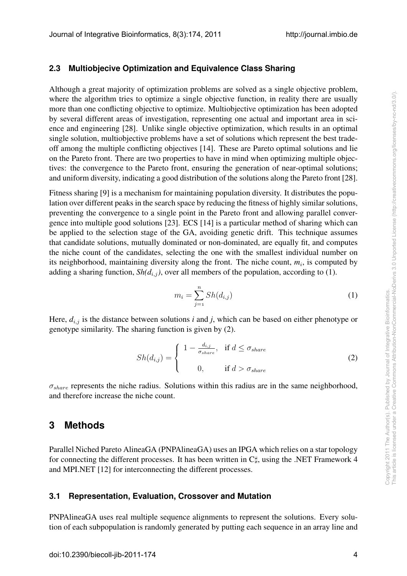#### **2.3 Multiobjecive Optimization and Equivalence Class Sharing**

Although a great majority of optimization problems are solved as a single objective problem, where the algorithm tries to optimize a single objective function, in reality there are usually more than one conflicting objective to optimize. Multiobjective optimization has been adopted by several different areas of investigation, representing one actual and important area in science and engineering [28]. Unlike single objective optimization, which results in an optimal single solution, multiobjective problems have a set of solutions which represent the best tradeoff among the multiple conflicting objectives [14]. These are Pareto optimal solutions and lie on the Pareto front. There are two properties to have in mind when optimizing multiple objectives: the convergence to the Pareto front, ensuring the generation of near-optimal solutions; and uniform diversity, indicating a good distribution of the solutions along the Pareto front [28].

Fitness sharing [9] is a mechanism for maintaining population diversity. It distributes the population over different peaks in the search space by reducing the fitness of highly similar solutions, preventing the convergence to a single point in the Pareto front and allowing parallel convergence into multiple good solutions [23]. ECS [14] is a particular method of sharing which can be applied to the selection stage of the GA, avoiding genetic drift. This technique assumes that candidate solutions, mutually dominated or non-dominated, are equally fit, and computes the niche count of the candidates, selecting the one with the smallest individual number on its neighborhood, maintaining diversity along the front. The niche count,  $m_i$ , is computed by adding a sharing function,  $\text{Sh}(d_{i,j})$ , over all members of the population, according to (1).

$$
m_i = \sum_{j=1}^{n} Sh(d_{i,j})
$$
 (1)

Here,  $d_{i,j}$  is the distance between solutions *i* and *j*, which can be based on either phenotype or genotype similarity. The sharing function is given by (2).

$$
Sh(d_{i,j}) = \begin{cases} 1 - \frac{d_{i,j}}{\sigma_{share}}, & \text{if } d \le \sigma_{share} \\ 0, & \text{if } d > \sigma_{share} \end{cases}
$$
 (2)

*σshare* represents the niche radius. Solutions within this radius are in the same neighborhood, and therefore increase the niche count.

# **3 Methods**

Parallel Niched Pareto AlineaGA (PNPAlineaGA) uses an IPGA which relies on a star topology for connecting the different processes. It has been written in C*♯*, using the .NET Framework 4 and MPI.NET [12] for interconnecting the different processes.

#### **3.1 Representation, Evaluation, Crossover and Mutation**

PNPAlineaGA uses real multiple sequence alignments to represent the solutions. Every solution of each subpopulation is randomly generated by putting each sequence in an array line and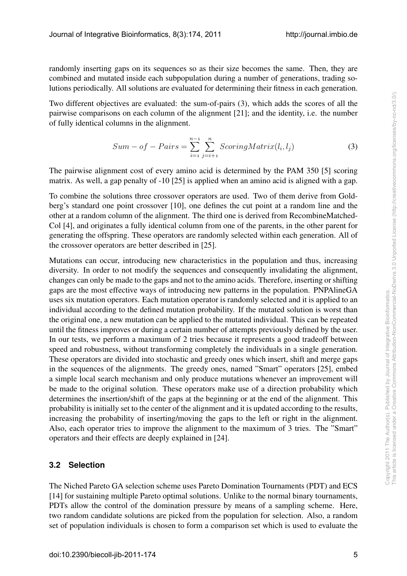randomly inserting gaps on its sequences so as their size becomes the same. Then, they are combined and mutated inside each subpopulation during a number of generations, trading solutions periodically. All solutions are evaluated for determining their fitness in each generation.

Two different objectives are evaluated: the sum-of-pairs (3), which adds the scores of all the pairwise comparisons on each column of the alignment [21]; and the identity, i.e. the number of fully identical columns in the alignment.

$$
Sum - of - Pairs = \sum_{i=1}^{n-1} \sum_{j=i+1}^{n} ScoringMatrix(l_i, l_j)
$$
\n(3)

The pairwise alignment cost of every amino acid is determined by the PAM 350 [5] scoring matrix. As well, a gap penalty of -10 [25] is applied when an amino acid is aligned with a gap.

To combine the solutions three crossover operators are used. Two of them derive from Goldberg's standard one point crossover [10], one defines the cut point at a random line and the other at a random column of the alignment. The third one is derived from RecombineMatched-Col [4], and originates a fully identical column from one of the parents, in the other parent for generating the offspring. These operators are randomly selected within each generation. All of the crossover operators are better described in [25].

Mutations can occur, introducing new characteristics in the population and thus, increasing diversity. In order to not modify the sequences and consequently invalidating the alignment, changes can only be made to the gaps and not to the amino acids. Therefore, inserting or shifting gaps are the most effective ways of introducing new patterns in the population. PNPAlineGA uses six mutation operators. Each mutation operator is randomly selected and it is applied to an individual according to the defined mutation probability. If the mutated solution is worst than the original one, a new mutation can be applied to the mutated individual. This can be repeated until the fitness improves or during a certain number of attempts previously defined by the user. In our tests, we perform a maximum of 2 tries because it represents a good tradeoff between speed and robustness, without transforming completely the individuals in a single generation. These operators are divided into stochastic and greedy ones which insert, shift and merge gaps in the sequences of the alignments. The greedy ones, named "Smart" operators [25], embed a simple local search mechanism and only produce mutations whenever an improvement will be made to the original solution. These operators make use of a direction probability which determines the insertion/shift of the gaps at the beginning or at the end of the alignment. This probability is initially set to the center of the alignment and it is updated according to the results, increasing the probability of inserting/moving the gaps to the left or right in the alignment. Also, each operator tries to improve the alignment to the maximum of 3 tries. The "Smart" operators and their effects are deeply explained in [24].

#### **3.2 Selection**

The Niched Pareto GA selection scheme uses Pareto Domination Tournaments (PDT) and ECS [14] for sustaining multiple Pareto optimal solutions. Unlike to the normal binary tournaments, PDTs allow the control of the domination pressure by means of a sampling scheme. Here, two random candidate solutions are picked from the population for selection. Also, a random set of population individuals is chosen to form a comparison set which is used to evaluate the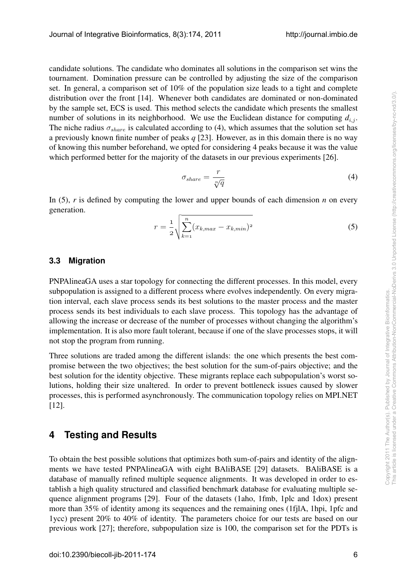candidate solutions. The candidate who dominates all solutions in the comparison set wins the tournament. Domination pressure can be controlled by adjusting the size of the comparison set. In general, a comparison set of 10% of the population size leads to a tight and complete distribution over the front [14]. Whenever both candidates are dominated or non-dominated by the sample set, ECS is used. This method selects the candidate which presents the smallest number of solutions in its neighborhood. We use the Euclidean distance for computing  $d_{i,j}$ . The niche radius  $\sigma_{share}$  is calculated according to (4), which assumes that the solution set has a previously known finite number of peaks *q* [23]. However, as in this domain there is no way of knowing this number beforehand, we opted for considering 4 peaks because it was the value which performed better for the majority of the datasets in our previous experiments [26].

$$
\sigma_{share} = \frac{r}{\sqrt[n]{q}}\tag{4}
$$

In (5), *r* is defined by computing the lower and upper bounds of each dimension *n* on every generation.

$$
r = \frac{1}{2} \sqrt{\sum_{k=1}^{n} (x_{k,max} - x_{k,min})^2}
$$
 (5)

#### **3.3 Migration**

PNPAlineaGA uses a star topology for connecting the different processes. In this model, every subpopulation is assigned to a different process where evolves independently. On every migration interval, each slave process sends its best solutions to the master process and the master process sends its best individuals to each slave process. This topology has the advantage of allowing the increase or decrease of the number of processes without changing the algorithm's implementation. It is also more fault tolerant, because if one of the slave processes stops, it will not stop the program from running.

Three solutions are traded among the different islands: the one which presents the best compromise between the two objectives; the best solution for the sum-of-pairs objective; and the best solution for the identity objective. These migrants replace each subpopulation's worst solutions, holding their size unaltered. In order to prevent bottleneck issues caused by slower processes, this is performed asynchronously. The communication topology relies on MPI.NET [12].

# **4 Testing and Results**

To obtain the best possible solutions that optimizes both sum-of-pairs and identity of the alignments we have tested PNPAlineaGA with eight BAliBASE [29] datasets. BAliBASE is a database of manually refined multiple sequence alignments. It was developed in order to establish a high quality structured and classified benchmark database for evaluating multiple sequence alignment programs [29]. Four of the datasets (1aho, 1fmb, 1plc and 1dox) present more than 35% of identity among its sequences and the remaining ones (1fjlA, 1hpi, 1pfc and 1ycc) present 20% to 40% of identity. The parameters choice for our tests are based on our previous work [27]; therefore, subpopulation size is 100, the comparison set for the PDTs is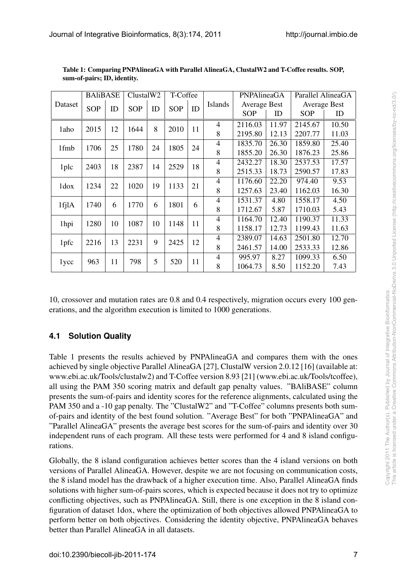| Dataset | <b>BAliBASE</b> |    | ClustalW2  |    | T-Coffee   |    |                | PNPAlineaGA         |       | Parallel AlineaGA   |       |
|---------|-----------------|----|------------|----|------------|----|----------------|---------------------|-------|---------------------|-------|
|         | <b>SOP</b>      | ID | <b>SOP</b> | ID | <b>SOP</b> | ID | <b>Islands</b> | <b>Average Best</b> |       | <b>Average Best</b> |       |
|         |                 |    |            |    |            |    |                | <b>SOP</b>          | ID    | <b>SOP</b>          | ID    |
| 1aho    | 2015            | 12 | 1644       | 8  | 2010       | 11 | $\overline{4}$ | 2116.03             | 11.97 | 2145.67             | 10.50 |
|         |                 |    |            |    |            |    | 8              | 2195.80             | 12.13 | 2207.77             | 11.03 |
| 1fmb    | 1706            | 25 | 1780       | 24 | 1805       | 24 | $\overline{4}$ | 1835.70             | 26.30 | 1859.80             | 25.40 |
|         |                 |    |            |    |            |    | 8              | 1855.20             | 26.30 | 1876.23             | 25.86 |
| 1plc    | 2403            | 18 | 2387       | 14 | 2529       | 18 | $\overline{4}$ | 2432.27             | 18.30 | 2537.53             | 17.57 |
|         |                 |    |            |    |            |    | 8              | 2515.33             | 18.73 | 2590.57             | 17.83 |
| 1dox    | 1234            | 22 | 1020       | 19 | 1133       | 21 | $\overline{4}$ | 1176.60             | 22.20 | 974.40              | 9.53  |
|         |                 |    |            |    |            |    | 8              | 1257.63             | 23.40 | 1162.03             | 16.30 |
| 1fj1A   | 1740            | 6  | 1770       | 6  | 1801       | 6  | $\overline{4}$ | 1531.37             | 4.80  | 1558.17             | 4.50  |
|         |                 |    |            |    |            |    | 8              | 1712.67             | 5.87  | 1710.03             | 5.43  |
| 1hpi    | 1280            | 10 | 1087       | 10 | 1148       | 11 | 4              | 1164.70             | 12.40 | 1190.37             | 11.33 |
|         |                 |    |            |    |            |    | 8              | 1158.17             | 12.73 | 1199.43             | 11.63 |
| 1pfc    | 2216            | 13 | 2231       | 9  | 2425       | 12 | $\overline{4}$ | 2389.07             | 14.63 | 2501.80             | 12.70 |
|         |                 |    |            |    |            |    | 8              | 2461.57             | 14.00 | 2533.33             | 12.86 |
| 1ycc    | 963             | 11 | 798        | 5  | 520        | 11 | $\overline{4}$ | 995.97              | 8.27  | 1099.33             | 6.50  |
|         |                 |    |            |    |            |    | 8              | 1064.73             | 8.50  | 1152.20             | 7.43  |

Table 1: Comparing PNPAlineaGA with Parallel AlineaGA, ClustalW2 and T-Coffee results. SOP, sum-of-pairs; ID, identity.

10, crossover and mutation rates are 0.8 and 0.4 respectively, migration occurs every 100 generations, and the algorithm execution is limited to 1000 generations.

# **4.1 Solution Quality**

Table 1 presents the results achieved by PNPAlineaGA and compares them with the ones achieved by single objective Parallel AlineaGA [27], ClustalW version 2.0.12 [16] (available at: www.ebi.ac.uk/Tools/clustalw2) and T-Coffee version 8.93 [21] (www.ebi.ac.uk/Tools/tcoffee), all using the PAM 350 scoring matrix and default gap penalty values. "BAliBASE" column presents the sum-of-pairs and identity scores for the reference alignments, calculated using the PAM 350 and a -10 gap penalty. The "ClustalW2" and "T-Coffee" columns presents both sumof-pairs and identity of the best found solution. "Average Best" for both "PNPAlineaGA" and "Parallel AlineaGA" presents the average best scores for the sum-of-pairs and identity over 30 independent runs of each program. All these tests were performed for 4 and 8 island configurations.

Globally, the 8 island configuration achieves better scores than the 4 island versions on both versions of Parallel AlineaGA. However, despite we are not focusing on communication costs, the 8 island model has the drawback of a higher execution time. Also, Parallel AlineaGA finds solutions with higher sum-of-pairs scores, which is expected because it does not try to optimize conflicting objectives, such as PNPAlineaGA. Still, there is one exception in the 8 island configuration of dataset 1dox, where the optimization of both objectives allowed PNPAlineaGA to perform better on both objectives. Considering the identity objective, PNPAlineaGA behaves better than Parallel AlineaGA in all datasets.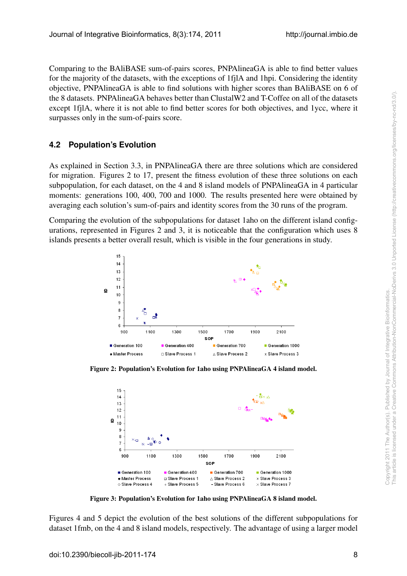Comparing to the BAliBASE sum-of-pairs scores, PNPAlineaGA is able to find better values for the majority of the datasets, with the exceptions of 1fjlA and 1hpi. Considering the identity objective, PNPAlineaGA is able to find solutions with higher scores than BAliBASE on 6 of the 8 datasets. PNPAlineaGA behaves better than ClustalW2 and T-Coffee on all of the datasets except 1fjlA, where it is not able to find better scores for both objectives, and 1ycc, where it surpasses only in the sum-of-pairs score.

## **4.2 Population's Evolution**

As explained in Section 3.3, in PNPAlineaGA there are three solutions which are considered for migration. Figures 2 to 17, present the fitness evolution of these three solutions on each subpopulation, for each dataset, on the 4 and 8 island models of PNPAlineaGA in 4 particular moments: generations 100, 400, 700 and 1000. The results presented here were obtained by averaging each solution's sum-of-pairs and identity scores from the 30 runs of the program.

Comparing the evolution of the subpopulations for dataset 1aho on the different island configurations, represented in Figures 2 and 3, it is noticeable that the configuration which uses 8 islands presents a better overall result, which is visible in the four generations in study.



Figure 2: Population's Evolution for 1aho using PNPAlineaGA 4 island model.



Figure 3: Population's Evolution for 1aho using PNPAlineaGA 8 island model.

Figures 4 and 5 depict the evolution of the best solutions of the different subpopulations for dataset 1fmb, on the 4 and 8 island models, respectively. The advantage of using a larger model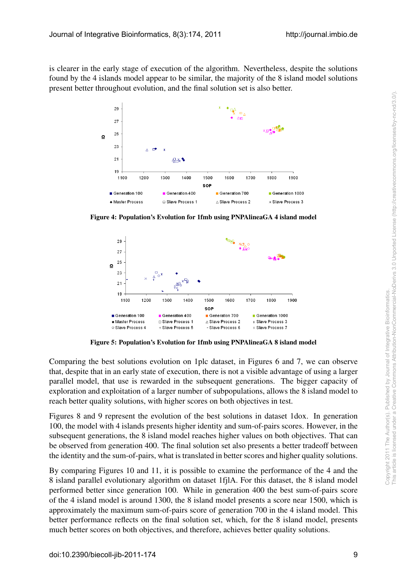is clearer in the early stage of execution of the algorithm. Nevertheless, despite the solutions found by the 4 islands model appear to be similar, the majority of the 8 island model solutions present better throughout evolution, and the final solution set is also better.



Figure 4: Population's Evolution for 1fmb using PNPAlineaGA 4 island model

![](_page_8_Figure_5.jpeg)

Figure 5: Population's Evolution for 1fmb using PNPAlineaGA 8 island model

Comparing the best solutions evolution on 1plc dataset, in Figures 6 and 7, we can observe that, despite that in an early state of execution, there is not a visible advantage of using a larger parallel model, that use is rewarded in the subsequent generations. The bigger capacity of exploration and exploitation of a larger number of subpopulations, allows the 8 island model to reach better quality solutions, with higher scores on both objectives in test.

Figures 8 and 9 represent the evolution of the best solutions in dataset 1dox. In generation 100, the model with 4 islands presents higher identity and sum-of-pairs scores. However, in the subsequent generations, the 8 island model reaches higher values on both objectives. That can be observed from generation 400. The final solution set also presents a better tradeoff between the identity and the sum-of-pairs, what is translated in better scores and higher quality solutions.

By comparing Figures 10 and 11, it is possible to examine the performance of the 4 and the 8 island parallel evolutionary algorithm on dataset 1fjlA. For this dataset, the 8 island model performed better since generation 100. While in generation 400 the best sum-of-pairs score of the 4 island model is around 1300, the 8 island model presents a score near 1500, which is approximately the maximum sum-of-pairs score of generation 700 in the 4 island model. This better performance reflects on the final solution set, which, for the 8 island model, presents much better scores on both objectives, and therefore, achieves better quality solutions.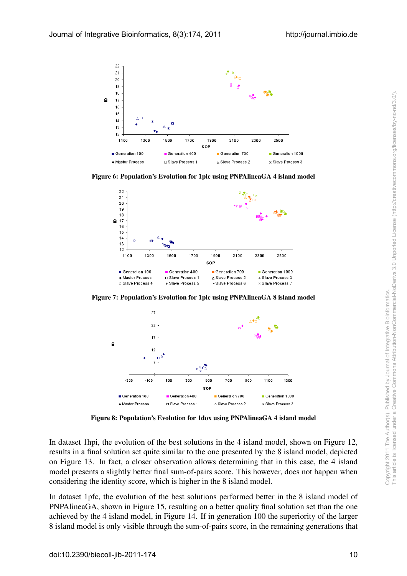![](_page_9_Figure_2.jpeg)

Figure 6: Population's Evolution for 1plc using PNPAlineaGA 4 island model

![](_page_9_Figure_4.jpeg)

Figure 7: Population's Evolution for 1plc using PNPAlineaGA 8 island model

![](_page_9_Figure_6.jpeg)

Figure 8: Population's Evolution for 1dox using PNPAlineaGA 4 island model

In dataset 1hpi, the evolution of the best solutions in the 4 island model, shown on Figure 12, results in a final solution set quite similar to the one presented by the 8 island model, depicted on Figure 13. In fact, a closer observation allows determining that in this case, the 4 island model presents a slightly better final sum-of-pairs score. This however, does not happen when considering the identity score, which is higher in the 8 island model.

In dataset 1pfc, the evolution of the best solutions performed better in the 8 island model of PNPAlineaGA, shown in Figure 15, resulting on a better quality final solution set than the one achieved by the 4 island model, in Figure 14. If in generation 100 the superiority of the larger 8 island model is only visible through the sum-of-pairs score, in the remaining generations that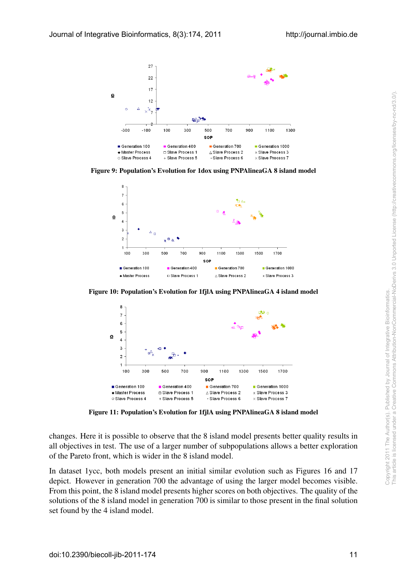![](_page_10_Figure_2.jpeg)

Figure 9: Population's Evolution for 1dox using PNPAlineaGA 8 island model

![](_page_10_Figure_4.jpeg)

Figure 10: Population's Evolution for 1fjlA using PNPAlineaGA 4 island model

![](_page_10_Figure_6.jpeg)

Figure 11: Population's Evolution for 1fjlA using PNPAlineaGA 8 island model

changes. Here it is possible to observe that the 8 island model presents better quality results in all objectives in test. The use of a larger number of subpopulations allows a better exploration of the Pareto front, which is wider in the 8 island model.

In dataset 1ycc, both models present an initial similar evolution such as Figures 16 and 17 depict. However in generation 700 the advantage of using the larger model becomes visible. From this point, the 8 island model presents higher scores on both objectives. The quality of the solutions of the 8 island model in generation 700 is similar to those present in the final solution set found by the 4 island model.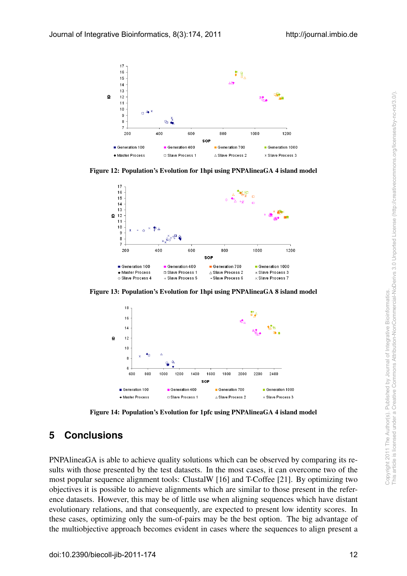![](_page_11_Figure_2.jpeg)

Figure 12: Population's Evolution for 1hpi using PNPAlineaGA 4 island model

![](_page_11_Figure_4.jpeg)

Figure 13: Population's Evolution for 1hpi using PNPAlineaGA 8 island model

![](_page_11_Figure_6.jpeg)

Figure 14: Population's Evolution for 1pfc using PNPAlineaGA 4 island model

# **5 Conclusions**

PNPAlineaGA is able to achieve quality solutions which can be observed by comparing its results with those presented by the test datasets. In the most cases, it can overcome two of the most popular sequence alignment tools: ClustalW [16] and T-Coffee [21]. By optimizing two objectives it is possible to achieve alignments which are similar to those present in the reference datasets. However, this may be of little use when aligning sequences which have distant evolutionary relations, and that consequently, are expected to present low identity scores. In these cases, optimizing only the sum-of-pairs may be the best option. The big advantage of the multiobjective approach becomes evident in cases where the sequences to align present a Figure 13: Population's Evolution for their using PNPAlineaGA 8 island model<br>  $\frac{5\pi}{4}$ <br>  $\frac{1}{4}$ <br>  $\frac{1}{4}$ <br>  $\frac{1}{4}$ <br>  $\frac{1}{4}$ <br>  $\frac{1}{4}$ <br>  $\frac{1}{4}$ <br>  $\frac{1}{4}$ <br>  $\frac{1}{4}$ <br>  $\frac{1}{4}$ <br>  $\frac{1}{4}$ <br>  $\frac{1}{4}$ <br>  $\frac{1}{4}$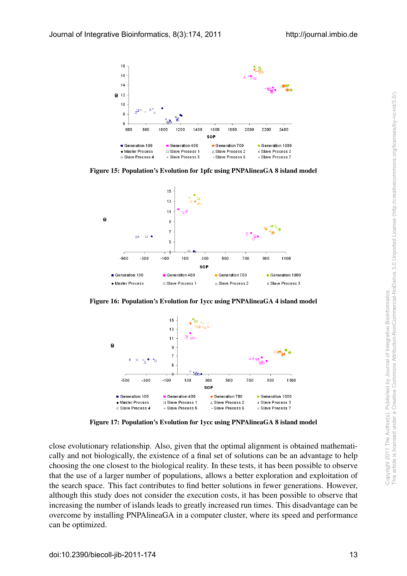![](_page_12_Figure_2.jpeg)

Figure 15: Population's Evolution for 1pfc using PNPAlineaGA 8 island model

![](_page_12_Figure_4.jpeg)

Figure 16: Population's Evolution for 1ycc using PNPAlineaGA 4 island model

![](_page_12_Figure_6.jpeg)

Figure 17: Population's Evolution for 1ycc using PNPAlineaGA 8 island model

close evolutionary relationship. Also, given that the optimal alignment is obtained mathematically and not biologically, the existence of a final set of solutions can be an advantage to help choosing the one closest to the biological reality. In these tests, it has been possible to observe that the use of a larger number of populations, allows a better exploration and exploitation of the search space. This fact contributes to find better solutions in fewer generations. However, although this study does not consider the execution costs, it has been possible to observe that increasing the number of islands leads to greatly increased run times. This disadvantage can be overcome by installing PNPAlineaGA in a computer cluster, where its speed and performance can be optimized. Figure 16: Population's Evolution for 1yce using PNPAlineaGA 4 island model<br>  $\begin{bmatrix}\n\frac{1}{2} & \frac{1}{2} & \frac{1}{2} & \frac{1}{2} & \frac{1}{2} & \frac{1}{2} & \frac{1}{2} & \frac{1}{2} & \frac{1}{2} & \frac{1}{2} & \frac{1}{2} & \frac{1}{2} & \frac{1}{2} & \frac{1}{2} & \frac{1}{2} & \frac{1}{2} & \frac{1}{2} &$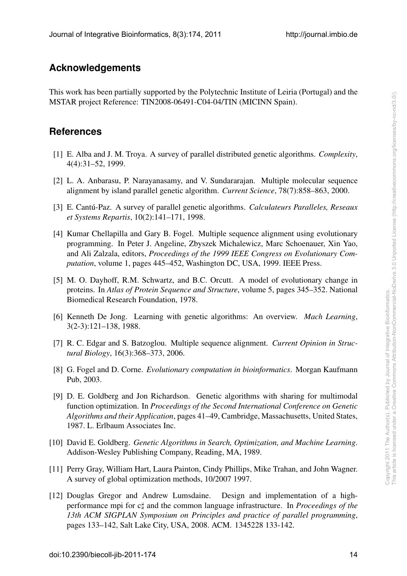## **Acknowledgements**

This work has been partially supported by the Polytechnic Institute of Leiria (Portugal) and the MSTAR project Reference: TIN2008-06491-C04-04/TIN (MICINN Spain).

## **References**

- [1] E. Alba and J. M. Troya. A survey of parallel distributed genetic algorithms. *Complexity*, 4(4):31–52, 1999.
- [2] L. A. Anbarasu, P. Narayanasamy, and V. Sundararajan. Multiple molecular sequence alignment by island parallel genetic algorithm. *Current Science*, 78(7):858–863, 2000.
- [3] E. Cantu-Paz. A survey of parallel genetic algorithms. ´ *Calculateurs Paralleles, Reseaux et Systems Repartis*, 10(2):141–171, 1998.
- [4] Kumar Chellapilla and Gary B. Fogel. Multiple sequence alignment using evolutionary programming. In Peter J. Angeline, Zbyszek Michalewicz, Marc Schoenauer, Xin Yao, and Ali Zalzala, editors, *Proceedings of the 1999 IEEE Congress on Evolutionary Computation*, volume 1, pages 445–452, Washington DC, USA, 1999. IEEE Press.
- [5] M. O. Dayhoff, R.M. Schwartz, and B.C. Orcutt. A model of evolutionary change in proteins. In *Atlas of Protein Sequence and Structure*, volume 5, pages 345–352. National Biomedical Research Foundation, 1978.
- [6] Kenneth De Jong. Learning with genetic algorithms: An overview. *Mach Learning*, 3(2-3):121–138, 1988.
- [7] R. C. Edgar and S. Batzoglou. Multiple sequence alignment. *Current Opinion in Structural Biology*, 16(3):368–373, 2006.
- [8] G. Fogel and D. Corne. *Evolutionary computation in bioinformatics*. Morgan Kaufmann Pub, 2003.
- [9] D. E. Goldberg and Jon Richardson. Genetic algorithms with sharing for multimodal function optimization. In *Proceedings of the Second International Conference on Genetic Algorithms and their Application*, pages 41–49, Cambridge, Massachusetts, United States, 1987. L. Erlbaum Associates Inc.
- [10] David E. Goldberg. *Genetic Algorithms in Search, Optimization, and Machine Learning*. Addison-Wesley Publishing Company, Reading, MA, 1989.
- [11] Perry Gray, William Hart, Laura Painton, Cindy Phillips, Mike Trahan, and John Wagner. A survey of global optimization methods, 10/2007 1997.
- [12] Douglas Gregor and Andrew Lumsdaine. Design and implementation of a highperformance mpi for c*♯* and the common language infrastructure. In *Proceedings of the 13th ACM SIGPLAN Symposium on Principles and practice of parallel programming*, pages 133–142, Salt Lake City, USA, 2008. ACM. 1345228 133-142. proteins. In *Altas of Protein Sequence and Structure*, volume 5, pages 345-352. National<br>
16] Kenneth De Jong. Leanning with genetic algorithms: An overview. *Mach Learning*,<br>
3(2-3):121-138, 1988.<br>
17] R. C. Edgar and S.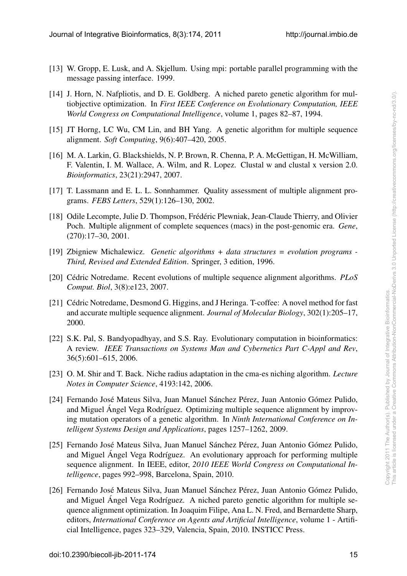- [13] W. Gropp, E. Lusk, and A. Skjellum. Using mpi: portable parallel programming with the message passing interface. 1999.
- [14] J. Horn, N. Nafpliotis, and D. E. Goldberg. A niched pareto genetic algorithm for multiobjective optimization. In *First IEEE Conference on Evolutionary Computation, IEEE World Congress on Computational Intelligence*, volume 1, pages 82–87, 1994.
- [15] JT Horng, LC Wu, CM Lin, and BH Yang. A genetic algorithm for multiple sequence alignment. *Soft Computing*, 9(6):407–420, 2005.
- [16] M. A. Larkin, G. Blackshields, N. P. Brown, R. Chenna, P. A. McGettigan, H. McWilliam, F. Valentin, I. M. Wallace, A. Wilm, and R. Lopez. Clustal w and clustal x version 2.0. *Bioinformatics*, 23(21):2947, 2007.
- [17] T. Lassmann and E. L. L. Sonnhammer. Quality assessment of multiple alignment programs. *FEBS Letters*, 529(1):126–130, 2002.
- [18] Odile Lecompte, Julie D. Thompson, Frédéric Plewniak, Jean-Claude Thierry, and Olivier Poch. Multiple alignment of complete sequences (macs) in the post-genomic era. *Gene*, (270):17–30, 2001.
- [19] Zbigniew Michalewicz. *Genetic algorithms + data structures = evolution programs - Third, Revised and Extended Edition*. Springer, 3 edition, 1996.
- [20] Cédric Notredame. Recent evolutions of multiple sequence alignment algorithms. *PLoS Comput. Biol*, 3(8):e123, 2007.
- [21] Cédric Notredame, Desmond G. Higgins, and J Heringa. T-coffee: A novel method for fast and accurate multiple sequence alignment. *Journal of Molecular Biology*, 302(1):205–17, 2000.
- [22] S.K. Pal, S. Bandyopadhyay, and S.S. Ray. Evolutionary computation in bioinformatics: A review. *IEEE Transactions on Systems Man and Cybernetics Part C-Appl and Rev*, 36(5):601–615, 2006.
- [23] O. M. Shir and T. Back. Niche radius adaptation in the cma-es niching algorithm. *Lecture Notes in Computer Science*, 4193:142, 2006.
- [24] Fernando José Mateus Silva, Juan Manuel Sánchez Pérez, Juan Antonio Gómez Pulido, and Miguel Ángel Vega Rodríguez. Optimizing multiple sequence alignment by improving mutation operators of a genetic algorithm. In *Ninth International Conference on Intelligent Systems Design and Applications*, pages 1257–1262, 2009.
- [25] Fernando José Mateus Silva, Juan Manuel Sánchez Pérez, Juan Antonio Gómez Pulido, and Miguel Angel Vega Rodríguez. An evolutionary approach for performing multiple sequence alignment. In IEEE, editor, *2010 IEEE World Congress on Computational Intelligence*, pages 992–998, Barcelona, Spain, 2010.
- [26] Fernando José Mateus Silva, Juan Manuel Sánchez Pérez, Juan Antonio Gómez Pulido, and Miguel Ángel Vega Rodríguez. A niched pareto genetic algorithm for multiple sequence alignment optimization. In Joaquim Filipe, Ana L. N. Fred, and Bernardette Sharp, editors, *International Conference on Agents and Artificial Intelligence*, volume 1 - Artificial Intelligence, pages 323–329, Valencia, Spain, 2010. INSTICC Press. Comput. not, NO(F125, 2001).<br>
221] Céric Noterdame, Desmond G. Higgins, and J Heringa. T-coffice: A novel method for fast<br>
221 Gal. Pal, S. Bandyopadhyay, and S.S. Ray. Evolutionary computation in bioinformatics:<br>
2000.<br>